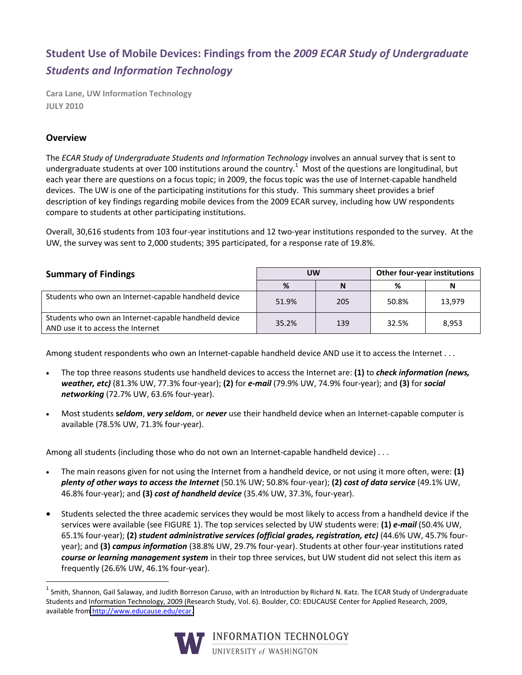## **Student'Use'of'Mobile'Devices: Findings'from'the'***2009\$ECAR\$Study of\$Undergraduate\$ Students\$and\$Information\$Technology*

**Cara Lane, UW Information Technology JULY'2010**

## **Overview**

The *ECAR Study of Undergraduate Students and Information Technology involves an annual survey that is sent to* undergraduate students at over 100 institutions around the country.<sup>1</sup> Most of the questions are longitudinal, but each year there are questions on a focus topic; in 2009, the focus topic was the use of Internet-capable handheld devices. The UW is one of the participating institutions for this study. This summary sheet provides a brief description of key findings regarding mobile devices from the 2009 ECAR survey, including how UW respondents compare to students at other participating institutions.

Overall, 30,616 students from 103 four-year institutions and 12 two-year institutions responded to the survey. At the UW, the survey was sent to 2,000 students; 395 participated, for a response rate of 19.8%.

| <b>Summary of Findings</b>                                                                | <b>UW</b> |     | Other four-year institutions |        |
|-------------------------------------------------------------------------------------------|-----------|-----|------------------------------|--------|
|                                                                                           | %         | N   | %                            | N      |
| Students who own an Internet-capable handheld device                                      | 51.9%     | 205 | 50.8%                        | 13,979 |
| Students who own an Internet-capable handheld device<br>AND use it to access the Internet | 35.2%     | 139 | 32.5%                        | 8,953  |

Among student respondents who own an Internet-capable handheld device AND use it to access the Internet . . .

- The top three reasons students use handheld devices to access the Internet are: (1) to *check information (news, weather, etc)* (81.3% UW, 77.3% four-year); (2) for *e-mail* (79.9% UW, 74.9% four-year); and (3) for *social networking* (72.7% UW, 63.6% four-year).
- Most students **seldom, very seldom**, or *never* use their handheld device when an Internet-capable computer is available (78.5% UW, 71.3% four-year).

Among all students (including those who do not own an Internet-capable handheld device) . . .

- The main reasons given for not using the Internet from a handheld device, or not using it more often, were: (1) *plenty of other ways to access the Internet* (50.1% UW; 50.8% four-year); (2) *cost of data service* (49.1% UW, 46.8% four-year); and (3) cost of handheld device (35.4% UW, 37.3%, four-year).
- Students selected the three academic services they would be most likely to access from a handheld device if the services were available (see FIGURE 1). The top services selected by UW students were: (1) *e-mail* (50.4% UW, 65.1% four-year); (2) *student administrative services (official grades, registration, etc)* (44.6% UW, 45.7% fouryear); and **(3)** *campus information* (38.8% UW, 29.7% four-year). Students at other four-year institutions rated course or learning management system in their top three services, but UW student did not select this item as frequently (26.6% UW, 46.1% four-year).

<sup>&</sup>lt;sup>1</sup> Smith, Shannon, Gail Salaway, and Judith Borreson Caruso, with an Introduction by Richard N. Katz. The ECAR Study of Undergraduate Students and Information Technology, 2009 (Research Study, Vol. 6). Boulder, CO: EDUCAUSE Center for Applied Research, 2009, available from http://www.educause.edu/ecar.